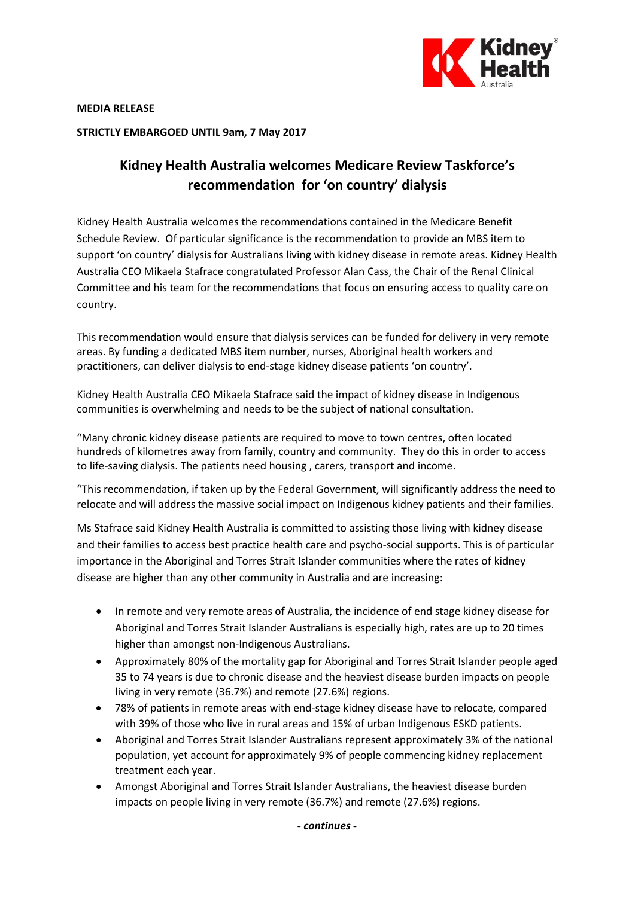

**MEDIA RELEASE**

**STRICTLY EMBARGOED UNTIL 9am, 7 May 2017**

## **Kidney Health Australia welcomes Medicare Review Taskforce's recommendation for 'on country' dialysis**

Kidney Health Australia welcomes the recommendations contained in the Medicare Benefit Schedule Review. Of particular significance is the recommendation to provide an MBS item to support 'on country' dialysis for Australians living with kidney disease in remote areas. Kidney Health Australia CEO Mikaela Stafrace congratulated Professor Alan Cass, the Chair of the Renal Clinical Committee and his team for the recommendations that focus on ensuring access to quality care on country.

This recommendation would ensure that dialysis services can be funded for delivery in very remote areas. By funding a dedicated MBS item number, nurses, Aboriginal health workers and practitioners, can deliver dialysis to end-stage kidney disease patients 'on country'.

Kidney Health Australia CEO Mikaela Stafrace said the impact of kidney disease in Indigenous communities is overwhelming and needs to be the subject of national consultation.

"Many chronic kidney disease patients are required to move to town centres, often located hundreds of kilometres away from family, country and community. They do this in order to access to life-saving dialysis. The patients need housing , carers, transport and income.

"This recommendation, if taken up by the Federal Government, will significantly address the need to relocate and will address the massive social impact on Indigenous kidney patients and their families.

Ms Stafrace said Kidney Health Australia is committed to assisting those living with kidney disease and their families to access best practice health care and psycho-social supports. This is of particular importance in the Aboriginal and Torres Strait Islander communities where the rates of kidney disease are higher than any other community in Australia and are increasing:

- In remote and very remote areas of Australia, the incidence of end stage kidney disease for Aboriginal and Torres Strait Islander Australians is especially high, rates are up to 20 times higher than amongst non-Indigenous Australians.
- Approximately 80% of the mortality gap for Aboriginal and Torres Strait Islander people aged 35 to 74 years is due to chronic disease and the heaviest disease burden impacts on people living in very remote (36.7%) and remote (27.6%) regions.
- 78% of patients in remote areas with end-stage kidney disease have to relocate, compared with 39% of those who live in rural areas and 15% of urban Indigenous ESKD patients.
- Aboriginal and Torres Strait Islander Australians represent approximately 3% of the national population, yet account for approximately 9% of people commencing kidney replacement treatment each year.
- Amongst Aboriginal and Torres Strait Islander Australians, the heaviest disease burden impacts on people living in very remote (36.7%) and remote (27.6%) regions.

*- continues -*